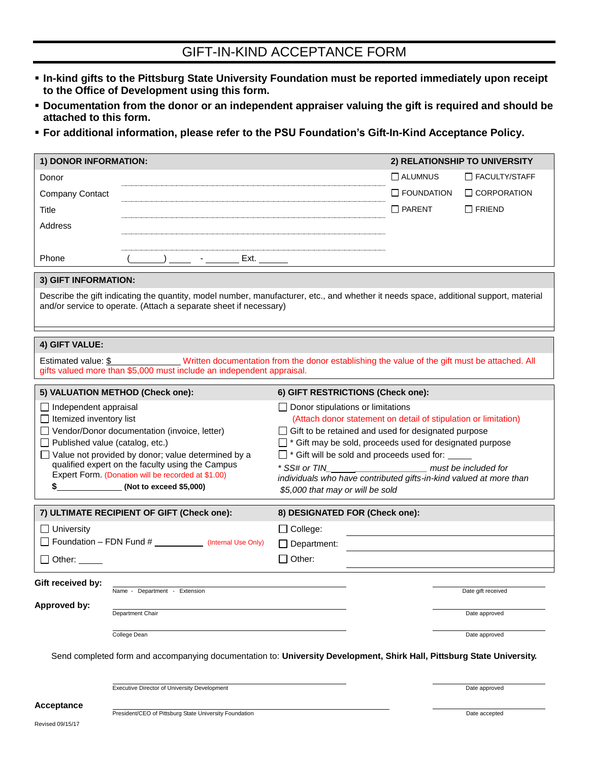## GIFT-IN-KIND ACCEPTANCE FORM

- **In-kind gifts to the Pittsburg State University Foundation must be reported immediately upon receipt to the Office of Development using this form.**
- **Documentation from the donor or an independent appraiser valuing the gift is required and should be attached to this form.**
- **For additional information, please refer to the PSU Foundation's Gift-In-Kind Acceptance Policy.**

| 1) DONOR INFORMATION:                                                                                                                 | 2) RELATIONSHIP TO UNIVERSITY                                                                                            |
|---------------------------------------------------------------------------------------------------------------------------------------|--------------------------------------------------------------------------------------------------------------------------|
| Donor                                                                                                                                 | $\Box$ ALUMNUS<br>□ FACULTY/STAFF                                                                                        |
| <b>Company Contact</b>                                                                                                                | $\Box$ FOUNDATION<br>$\Box$ CORPORATION                                                                                  |
| Title                                                                                                                                 | $\Box$ PARENT<br>$\Box$ FRIEND                                                                                           |
| Address                                                                                                                               |                                                                                                                          |
|                                                                                                                                       |                                                                                                                          |
| Phone<br>_) ______ - _________ Ext. _______                                                                                           |                                                                                                                          |
| 3) GIFT INFORMATION:                                                                                                                  |                                                                                                                          |
| Describe the gift indicating the quantity, model number, manufacturer, etc., and whether it needs space, additional support, material |                                                                                                                          |
| and/or service to operate. (Attach a separate sheet if necessary)                                                                     |                                                                                                                          |
|                                                                                                                                       |                                                                                                                          |
| 4) GIFT VALUE:                                                                                                                        |                                                                                                                          |
| Estimated value: \$                                                                                                                   | Written documentation from the donor establishing the value of the gift must be attached. All                            |
| gifts valued more than \$5,000 must include an independent appraisal.                                                                 |                                                                                                                          |
| 5) VALUATION METHOD (Check one):                                                                                                      | 6) GIFT RESTRICTIONS (Check one):                                                                                        |
| $\Box$ Independent appraisal                                                                                                          | $\Box$ Donor stipulations or limitations                                                                                 |
| $\Box$ Itemized inventory list                                                                                                        | (Attach donor statement on detail of stipulation or limitation)                                                          |
| Vendor/Donor documentation (invoice, letter)<br>$\Box$ Published value (catalog, etc.)                                                | $\Box$ Gift to be retained and used for designated purpose<br>□ * Gift may be sold, proceeds used for designated purpose |
| $\Box$ Value not provided by donor; value determined by a                                                                             | □ * Gift will be sold and proceeds used for:                                                                             |
| qualified expert on the faculty using the Campus                                                                                      | * SS# or TIN                                                                                                             |
| Expert Form. (Donation will be recorded at \$1.00)                                                                                    | individuals who have contributed gifts-in-kind valued at more than                                                       |
| \$<br>(Not to exceed \$5,000)                                                                                                         | \$5,000 that may or will be sold                                                                                         |
| 7) ULTIMATE RECIPIENT OF GIFT (Check one):                                                                                            | 8) DESIGNATED FOR (Check one):                                                                                           |
| $\Box$ University                                                                                                                     | $\Box$ College:                                                                                                          |
| Foundation - FDN Fund # ___________ (Internal Use Only)                                                                               | Department:                                                                                                              |
| $\Box$ Other: $\_\_$                                                                                                                  | Other:                                                                                                                   |
| Gift received by:                                                                                                                     |                                                                                                                          |
| Name - Department - Extension                                                                                                         | Date gift received                                                                                                       |
| Approved by:<br>Department Chair                                                                                                      | Date approved                                                                                                            |
|                                                                                                                                       |                                                                                                                          |
| College Dean                                                                                                                          | Date approved                                                                                                            |
| Send completed form and accompanying documentation to: University Development, Shirk Hall, Pittsburg State University.                |                                                                                                                          |
| Executive Director of University Development                                                                                          | Date approved                                                                                                            |
| <b>Acceptance</b>                                                                                                                     |                                                                                                                          |

Revised 09/15/17